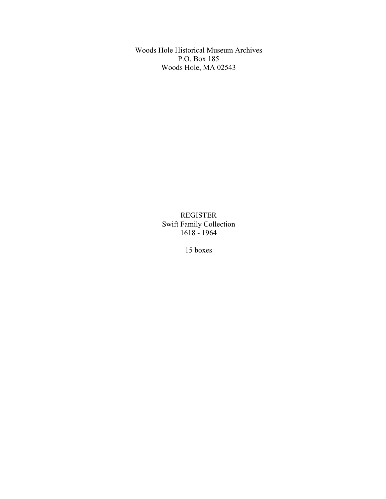Woods Hole Historical Museum Archives P.O. Box 185 Woods Hole, MA 02543

> REGISTER Swift Family Collection 1618 - 1964

> > 15 boxes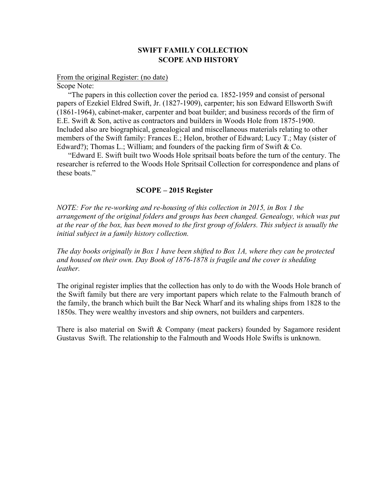# **SWIFT FAMILY COLLECTION SCOPE AND HISTORY**

From the original Register: (no date)

Scope Note:

"The papers in this collection cover the period ca. 1852-1959 and consist of personal papers of Ezekiel Eldred Swift, Jr. (1827-1909), carpenter; his son Edward Ellsworth Swift (1861-1964), cabinet-maker, carpenter and boat builder; and business records of the firm of E.E. Swift & Son, active as contractors and builders in Woods Hole from 1875-1900. Included also are biographical, genealogical and miscellaneous materials relating to other members of the Swift family: Frances E.; Helon, brother of Edward; Lucy T.; May (sister of Edward?); Thomas L.; William; and founders of the packing firm of Swift & Co.

"Edward E. Swift built two Woods Hole spritsail boats before the turn of the century. The researcher is referred to the Woods Hole Spritsail Collection for correspondence and plans of these boats."

## **SCOPE – 2015 Register**

*NOTE: For the re-working and re-housing of this collection in 2015, in Box 1 the arrangement of the original folders and groups has been changed. Genealogy, which was put at the rear of the box, has been moved to the first group of folders. This subject is usually the initial subject in a family history collection.*

*The day books originally in Box 1 have been shifted to Box 1A, where they can be protected and housed on their own. Day Book of 1876-1878 is fragile and the cover is shedding leather.*

The original register implies that the collection has only to do with the Woods Hole branch of the Swift family but there are very important papers which relate to the Falmouth branch of the family, the branch which built the Bar Neck Wharf and its whaling ships from 1828 to the 1850s. They were wealthy investors and ship owners, not builders and carpenters.

There is also material on Swift & Company (meat packers) founded by Sagamore resident Gustavus Swift. The relationship to the Falmouth and Woods Hole Swifts is unknown.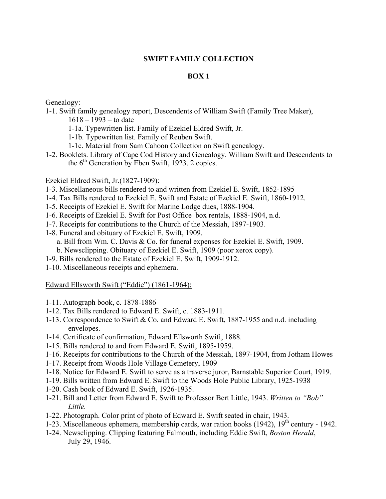## **SWIFT FAMILY COLLECTION**

# **BOX 1**

# Genealogy:

- 1-1. Swift family genealogy report, Descendents of William Swift (Family Tree Maker),  $1618 - 1993 -$  to date
	- 1-1a. Typewritten list. Family of Ezekiel Eldred Swift, Jr.
	- 1-1b. Typewritten list. Family of Reuben Swift.
	- 1-1c. Material from Sam Cahoon Collection on Swift genealogy.
- 1-2. Booklets. Library of Cape Cod History and Genealogy. William Swift and Descendents to the  $6<sup>th</sup>$  Generation by Eben Swift, 1923. 2 copies.

## Ezekiel Eldred Swift, Jr.(1827-1909):

- 1-3. Miscellaneous bills rendered to and written from Ezekiel E. Swift, 1852-1895
- 1-4. Tax Bills rendered to Ezekiel E. Swift and Estate of Ezekiel E. Swift, 1860-1912.
- 1-5. Receipts of Ezekiel E. Swift for Marine Lodge dues, 1888-1904.
- 1-6. Receipts of Ezekiel E. Swift for Post Office box rentals, 1888-1904, n.d.
- 1-7. Receipts for contributions to the Church of the Messiah, 1897-1903.
- 1-8. Funeral and obituary of Ezekiel E. Swift, 1909.
	- a. Bill from Wm. C. Davis & Co. for funeral expenses for Ezekiel E. Swift, 1909.
	- b. Newsclipping. Obituary of Ezekiel E. Swift, 1909 (poor xerox copy).
- 1-9. Bills rendered to the Estate of Ezekiel E. Swift, 1909-1912.
- 1-10. Miscellaneous receipts and ephemera.

# Edward Ellsworth Swift ("Eddie") (1861-1964):

- 1-11. Autograph book, c. 1878-1886
- 1-12. Tax Bills rendered to Edward E. Swift, c. 1883-1911.
- 1-13. Correspondence to Swift & Co. and Edward E. Swift, 1887-1955 and n.d. including envelopes.
- 1-14. Certificate of confirmation, Edward Ellsworth Swift, 1888.
- 1-15. Bills rendered to and from Edward E. Swift, 1895-1959.
- 1-16. Receipts for contributions to the Church of the Messiah, 1897-1904, from Jotham Howes
- 1-17. Receipt from Woods Hole Village Cemetery, 1909
- 1-18. Notice for Edward E. Swift to serve as a traverse juror, Barnstable Superior Court, 1919.
- 1-19. Bills written from Edward E. Swift to the Woods Hole Public Library, 1925-1938
- 1-20. Cash book of Edward E. Swift, 1926-1935.
- 1-21. Bill and Letter from Edward E. Swift to Professor Bert Little, 1943. *Written to "Bob" Little.*
- 1-22. Photograph. Color print of photo of Edward E. Swift seated in chair, 1943.
- 1-23. Miscellaneous ephemera, membership cards, war ration books (1942),  $19<sup>th</sup>$  century 1942.
- 1-24. Newsclipping. Clipping featuring Falmouth, including Eddie Swift, *Boston Herald*, July 29, 1946.